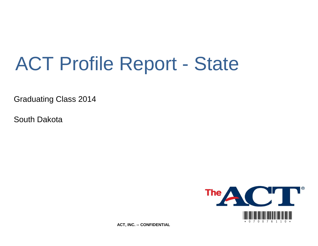# ACT Profile Report - State

Graduating Class 2014

South Dakota



**ACT, INC. -- CONFIDENTIAL**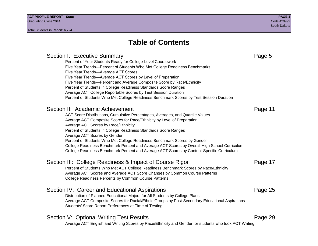## **Table of Contents**

### Section I: Executive Summary **Page 5** and the section I: Executive Summary Percent of Your Students Ready for College-Level Coursework Five Year Trends—Percent of Students Who Met College Readiness Benchmarks Five Year Trends—Average ACT Scores Five Year Trends—Average ACT Scores by Level of Preparation Five Year Trends—Percent and Average Composite Score by Race/Ethnicity Percent of Students in College Readiness Standards Score Ranges Average ACT College Reportable Scores by Test Session Duration Percent of Students Who Met College Readiness Benchmark Scores by Test Session Duration Section II: Academic Achievement **Page 11** Page 11 ACT Score Distributions, Cumulative Percentages, Averages, and Quartile Values Average ACT Composite Scores for Race/Ethnicity by Level of Preparation Average ACT Scores by Race/Ethnicity Percent of Students in College Readiness Standards Score Ranges Average ACT Scores by Gender Percent of Students Who Met College Readiness Benchmark Scores by Gender College Readiness Benchmark Percent and Average ACT Scores by Overall High School Curriculum College Readiness Benchmark Percent and Average ACT Scores by Content-Specific Curriculum Section III: College Readiness & Impact of Course Rigor Page 17 Percent of Students Who Met ACT College Readiness Benchmark Scores by Race/Ethnicity Average ACT Scores and Average ACT Score Changes by Common Course Patterns College Readiness Percents by Common Course Patterns Section IV: Career and Educational Aspirations **Page 25** Page 25 Distribution of Planned Educational Majors for All Students by College Plans Average ACT Composite Scores for Racial/Ethnic Groups by Post-Secondary Educational Aspirations Students' Score Report Preferences at Time of Testing Section V: Optional Writing Test Results **Page 29** Page 29 Average ACT English and Writing Scores by Race/Ethnicity and Gender for students who took ACT Writing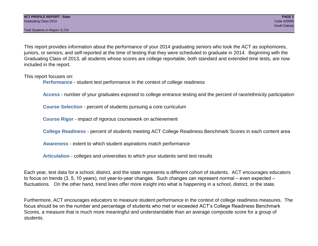Total Students in Report: 6,724

This report provides information about the performance of your 2014 graduating seniors who took the ACT as sophomores, juniors, or seniors; and self-reported at the time of testing that they were scheduled to graduate in 2014. Beginning with the Graduating Class of 2013, all students whose scores are college reportable, both standard and extended time tests, are now included in the report.

This report focuses on:

**Performance** - student test performance in the context of college readiness

**Access** - number of your graduates exposed to college entrance testing and the percent of race/ethnicity participation

**Course Selection** - percent of students pursuing a core curriculum

**Course Rigor** - impact of rigorous coursework on achievement

**College Readiness** - percent of students meeting ACT College Readiness Benchmark Scores in each content area

**Awareness** - extent to which student aspirations match performance

**Articulation** - colleges and universities to which your students send test results

Each year, test data for a school, district, and the state represents a different cohort of students. ACT encourages educators to focus on trends (3, 5, 10 years), not year-to-year changes. Such changes can represent normal – even expected – fluctuations. On the other hand, trend lines offer more insight into what is happening in a school, district, or the state.

Furthermore, ACT encourages educators to measure student performance in the context of college readiness measures. The focus should be on the number and percentage of students who met or exceeded ACT's College Readiness Benchmark Scores, a measure that is much more meaningful and understandable than an average composite score for a group of students.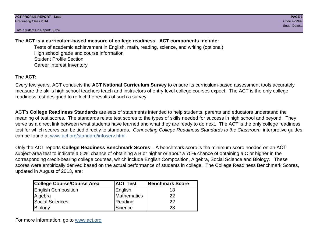Total Students in Report: 6,724

### **The ACT is a curriculum-based measure of college readiness. ACT components include:**

Tests of academic achievement in English, math, reading, science, and writing (optional) High school grade and course information Student Profile Section Career Interest Inventory

### **The ACT:**

Every few years, ACT conducts the **ACT National Curriculum Survey** to ensure its curriculum-based assessment tools accurately measure the skills high school teachers teach and instructors of entry-level college courses expect. The ACT is the only college readiness test designed to reflect the results of such a survey.

ACT's **College Readiness Standards** are sets of statements intended to help students, parents and educators understand the meaning of test scores. The standards relate test scores to the types of skills needed for success in high school and beyond. They serve as a direct link between what students have learned and what they are ready to do next. The ACT is the only college readiness test for which scores can be tied directly to standards. *Connecting College Readiness Standards to the Classroom* interpretive guides can be found at www.act.org/standard/infoserv.html.

Only the ACT reports **College Readiness Benchmark Scores** – A benchmark score is the minimum score needed on an ACT subject-area test to indicate a 50% chance of obtaining a B or higher or about a 75% chance of obtaining a C or higher in the corresponding credit-bearing college courses, which include English Composition, Algebra, Social Science and Biology. These scores were empirically derived based on the actual performance of students in college. The College Readiness Benchmark Scores, updated in August of 2013, are:

| College Course/Course Area | <b>ACT Test</b> | <b>Benchmark Score</b> |
|----------------------------|-----------------|------------------------|
| <b>English Composition</b> | English         | 18                     |
| Algebra                    | Mathematics     | 22                     |
| <b>Social Sciences</b>     | Reading         | 22                     |
| Biology                    | Science         | 23                     |

For more information, go to www.act.org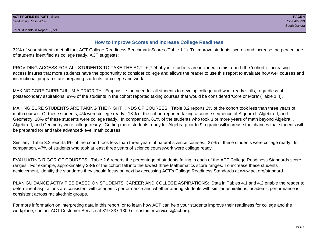#### **How to Improve Scores and Increase College Readiness**

32% of your students met all four ACT College Readiness Benchmark Scores (Table 1.1). To improve students' scores and increase the percentage of students identified as college ready, ACT suggests:

PROVIDING ACCESS FOR ALL STUDENTS TO TAKE THE ACT: 6,724 of your students are included in this report (the 'cohort'). Increasing access insures that more students have the opportunity to consider college and allows the reader to use this report to evaluate how well courses and instructional programs are preparing students for college and work.

MAKING CORE CURRICULUM A PRIORITY: Emphasize the need for all students to develop college and work ready skills, regardless of postsecondary aspirations. 89% of the students in the cohort reported taking courses that would be considered 'Core or More' (Table 1.4).

MAKING SURE STUDENTS ARE TAKING THE RIGHT KINDS OF COURSES: Table 3.2 reports 2% of the cohort took less than three years of math courses. Of these students, 4% were college ready. 18% of the cohort reported taking a course sequence of Algebra I, Algebra II, and Geometry. 18% of these students were college ready. In comparison, 61% of the students who took 3 or more years of math beyond Algebra I, Algebra II, and Geometry were college ready. Getting more students ready for Algebra prior to 9th grade will increase the chances that students will be prepared for and take advanced-level math courses.

Similarly, Table 3.2 reports 6% of the cohort took less than three years of natural science courses. 27% of these students were college ready. In comparison, 47% of students who took at least three years of science coursework were college ready.

EVALUATING RIGOR OF COURSES: Table 2.6 reports the percentage of students falling in each of the ACT College Readiness Standards score ranges. For example, approximately 38% of the cohort fall into the lowest three Mathematics score ranges. To increase these students' achievement, identify the standards they should focus on next by accessing ACT's College Readiness Standards at www.act.org/standard.

PLAN GUIDANCE ACTIVITIES BASED ON STUDENTS' CAREER AND COLLEGE ASPIRATIONS: Data in Tables 4.1 and 4.2 enable the reader to determine if aspirations are consistent with academic performance and whether among students with similar aspirations, academic performance is consistent across racial/ethnic groups.

For more information on interpreting data in this report, or to learn how ACT can help your students improve their readiness for college and the workplace, contact ACT Customer Service at 319-337-1309 or customerservices@act.org.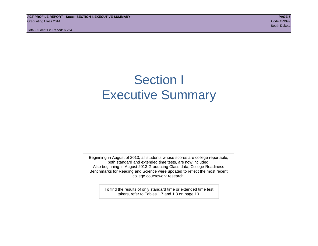**ACT PROFILE REPORT - State: SECTION I, EXECUTIVE SUMMARY PAGE 5** Graduating Class 2014 Code 429999

Total Students in Report: 6,724

## Section I Executive Summary

Beginning in August of 2013, all students whose scores are college reportable, both standard and extended time tests, are now included. Also beginning in August 2013 Graduating Class data, College Readiness Benchmarks for Reading and Science were updated to reflect the most recent college coursework research.

> To find the results of only standard time or extended time test takers, refer to Tables 1.7 and 1.8 on page 10.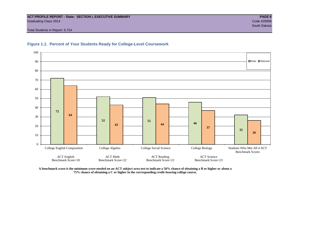#### **ACT PROFILE REPORT - State: SECTION I, EXECUTIVE SUMMARY PAGE 6** Graduating Class 2014 Code 429999

 South Dakota Total Students in Report: 6,724





**A benchmark score is the minimum score needed on an ACT subject-area test to indicate a 50% chance of obtaining a B or higher or about a 75% chance of obtaining a C or higher in the corresponding credit-bearing college course.**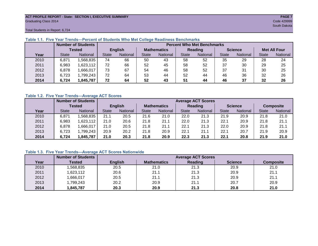#### **ACT PROFILE REPORT - State: SECTION I, EXECUTIVE SUMMARY PAGE 7** Graduating Class 2014 Code 429999

South Dakota

Total Students in Report: 6,724

|      |              | <b>Number of Students</b> |                |          |                    | <b>Percent Who Met Benchmarks</b> |              |          |                |          |                     |          |  |  |  |
|------|--------------|---------------------------|----------------|----------|--------------------|-----------------------------------|--------------|----------|----------------|----------|---------------------|----------|--|--|--|
|      |              | Tested                    | <b>English</b> |          | <b>Mathematics</b> |                                   | Reading      |          | <b>Science</b> |          | <b>Met All Four</b> |          |  |  |  |
| Year | <b>State</b> | <b>National</b>           | <b>State</b>   | National | State              | <b>National</b>                   | <b>State</b> | National | <b>State</b>   | National | <b>State</b>        | National |  |  |  |
| 2010 | 6,871        | ,568,835                  | 74             | 66       | 50                 | 43                                | 58           | 52       | 35             | 29       | 28                  | 24       |  |  |  |
| 2011 | 6,983        | 1,623,112                 | 72             | 66       | 52                 | 45                                | 58           | 52       | 37             | 30       | 29                  | 25       |  |  |  |
| 2012 | 6,878        | 1,666,017                 | 73             | 67       | 54                 | 46                                | 58           | 52       | 37             | 31       | 30                  | 25       |  |  |  |
| 2013 | 6,723        | 1,799,243                 | 72             | 64       | 53                 | 44                                | 52           | 44       | 46             | 36       | 32                  | 26       |  |  |  |
| 2014 | 6,724        | 1,845,787                 | 72             | 64       | 52                 | 43                                | 51           | 44       | 46             | 37       | 32                  | 26       |  |  |  |

#### **Table 1.1. Five Year Trends—Percent of Students Who Met College Readiness Benchmarks**

#### **Table 1.2. Five Year Trends—Average ACT Scores**

|      |              | <b>Number of Students</b> |              |                |                    | <b>Average ACT Scores</b> |                |                 |                |          |                  |          |  |  |
|------|--------------|---------------------------|--------------|----------------|--------------------|---------------------------|----------------|-----------------|----------------|----------|------------------|----------|--|--|
|      |              | Tested                    |              | <b>English</b> | <b>Mathematics</b> |                           | <b>Reading</b> |                 | <b>Science</b> |          | <b>Composite</b> |          |  |  |
| Year | <b>State</b> | <b>National</b>           | <b>State</b> | National       | State              | National                  | <b>State</b>   | <b>National</b> | <b>State</b>   | National | <b>State</b>     | National |  |  |
| 2010 | 6,871        | .568,835                  | 21.1         | 20.5           | 21.6               | 21.0                      | 22.0           | 21.3            | 21.9           | 20.9     | 21.8             | 21.0     |  |  |
| 2011 | 6,983        | .623,112                  | 21.0         | 20.6           | 21.8               | 21.1                      | 22.0           | 21.3            | 22.1           | 20.9     | 21.8             | 21.1     |  |  |
| 2012 | 6,878        | .666,017                  | 21.0         | 20.5           | 21.8               | 21.1                      | 22.1           | 21.3            | 22.0           | 20.9     | 21.8             | 21.1     |  |  |
| 2013 | 6,723        | ,799,243                  | 20.9         | 20.2           | 21.8               | 20.9                      | 22.7           | 21.1            | 22.1           | 20.7     | 21.9             | 20.9     |  |  |
| 2014 | 6.724        | ,845,787                  | 21.0         | 20.3           | 21.8               | 20.9                      | 22.3           | 21.3            | 22.1           | 20.8     | 21.9             | 21.0     |  |  |

#### **Table 1.3. Five Year Trends—Average ACT Scores Nationwide**

|      | <b>Number of Students</b> |                |                    | <b>Average ACT Scores</b> |                |                  |
|------|---------------------------|----------------|--------------------|---------------------------|----------------|------------------|
| Year | Tested                    | <b>English</b> | <b>Mathematics</b> | Reading                   | <b>Science</b> | <b>Composite</b> |
| 2010 | ,568,835                  | 20.5           | 21.0               | 21.3                      | 20.9           | 21.0             |
| 2011 | ,623,112                  | 20.6           | 21.1               | 21.3                      | 20.9           | 21.1             |
| 2012 | ,666,017                  | 20.5           | 21.1               | 21.3                      | 20.9           | 21.1             |
| 2013 | 1,799,243                 | 20.2           | 20.9               | 21.1                      | 20.7           | 20.9             |
| 2014 | 845,787                   | 20.3           | 20.9               | 21.3                      | 20.8           | 21.0             |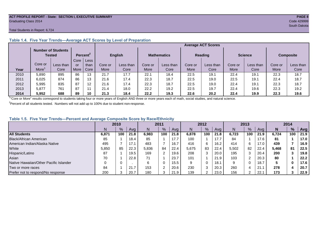#### **ACT PROFILE REPORT - State: SECTION I, EXECUTIVE SUMMARY PAGE 8** Graduating Class 2014 Code 429999

#### Total Students in Report: 6,724

|      |                   | <b>Number of Students</b><br><b>Tested</b> |      | Percent <sup>2</sup> | English |           | <b>Mathematics</b> |           | <b>Reading</b> |           | <b>Science</b> |           | <b>Composite</b> |           |
|------|-------------------|--------------------------------------------|------|----------------------|---------|-----------|--------------------|-----------|----------------|-----------|----------------|-----------|------------------|-----------|
|      |                   |                                            | Core | Less                 |         |           |                    |           |                |           |                |           |                  |           |
|      | Core or           | Less than                                  | or   | than                 | Core or | Less than | Core or            | Less than | Core or        | Less than | Core or        | Less than | Core or          | Less than |
| Year | More <sup>'</sup> | Core                                       | More | Core                 | More    | Core      | More               | Core      | More           | Core      | More           | Core      | More             | Core      |
| 2010 | 5.890             | 895                                        | 86   | 13                   | 21.7    | 17.7      | 22.1               | 18.4      | 22.5           | 19.1      | 22.4           | 19.1      | 22.3             | 18.7      |
| 2011 | 6.025             | 874                                        | 86   | 13                   | 21.6    | 17.4      | 22.3               | 18.7      | 22.5           | 19.0      | 22.5           | 19.1      | 22.4             | 18.7      |
| 2012 | 5,995             | 835                                        | 87   | $12 \overline{ }$    | 21.6    | 17.4      | 22.3               | 18.7      | 22.5           | 19.0      | 22.4           | 19.1      | 22.3             | 18.7      |
| 2013 | 5,877             | 761                                        | 87   | 44                   | 21.4    | 18.0      | 22.2               | 19.2      | 22.5           | 19.7      | 22.4           | 19.6      | 22.3             | 19.2      |
| 2014 | 5.952             | 688                                        | 89   | 10                   | 21.3    | 18.4      | 22.2               | 19.3      | 22.6           | 20.2      | 22.4           | 19.9      | 22.3             | 19.6      |

#### **Table 1.4. Five Year Trends—Average ACT Scores by Level of Preparation**

<sup>1</sup>"Core or More" results correspond to students taking four or more years of English AND three or more years each of math, social studies, and natural science.

 $2P$ ercent of all students tested. Numbers will not add up to 100% due to student non-response.

#### **Table 1.5. Five Year Trends—Percent and Average Composite Score by Race/Ethnicity**

|                                        | 2010  |     |           | 2011  |     | 2012 |       | 2013 |      |       | 2014       |      |       |     |      |
|----------------------------------------|-------|-----|-----------|-------|-----|------|-------|------|------|-------|------------|------|-------|-----|------|
|                                        | N     | %   | Ava       | N     | %   | Avg  | N     | %    | Avg  | N     | %          | Ava  | N     | %   | Avg  |
| <b>All Students</b>                    | 6,871 | 100 | 21.8      | 6,983 | 100 | 21.8 | 6,878 | 100  | 21.8 | 6.723 | 100        | 21.9 | 6.724 | 100 | 21.9 |
| <b>Black/African American</b>          | 85    |     | 18.4      | 85    |     | 17.7 | 100   |      | 17.7 | 84    |            | 17.6 | 81    |     | 17.0 |
| American Indian/Alaska Native          | 495   |     | 17.1      | 483   |     | 16.7 | 416   | 6    | 16.2 | 414   | 6          | 17.0 | 439   |     | 16.9 |
| White                                  | 5,850 | 85  | 22.3      | 5,836 | 84  | 22.4 | 5,675 | 83   | 22.4 | 5,502 | 82         | 22.4 | 5.468 | 81  | 22.5 |
| Hispanic/Latino                        | 87    |     | 19.5      | 169   |     | 19.6 | 208   | 3    | 20.0 | 195   | 3          | 20.4 | 200   |     | 19.8 |
| Asian                                  | 70    |     | 22.8      |       |     | 23.7 | 101   |      | 21.9 | 103   | റ          | 20.3 | 80    |     | 22.2 |
| Native Hawaiian/Other Pacific Islander | 0     | 0   |           |       |     | 15.5 | 9     |      | 18.7 | 9     |            | 18.7 |       |     | 17.6 |
| Two or more races                      | 84    |     | 21.7<br>⇁ | 153   |     | 20.6 | 230   | c    | 20.3 | 260   |            | 21.7 | 278   |     | 20.7 |
| Prefer not to respond/No response      | 200   | 3   | 20.7      | 180   |     | 21.9 | 139   | ົ    | 23.0 | 156   | $\sqrt{2}$ | 22.  | 173   |     | 22.9 |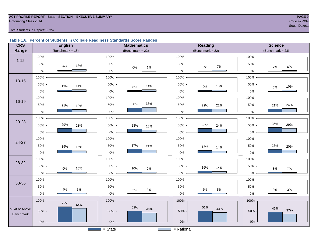#### **ACT PROFILE REPORT - State: SECTION I, EXECUTIVE SUMMARY PAGE 9** Code 429999 Craduating Class 2014 Code 429999 Code 429999

#### Total Students in Report: 6,724

#### **Table 1.6. Percent of Students in College Readiness Standards Score Ranges**

| <b>CRS</b>                 | <b>English</b>       | <b>Mathematics</b>    | <b>Reading</b>          | <b>Science</b>        |
|----------------------------|----------------------|-----------------------|-------------------------|-----------------------|
| Range                      | (Benchmark = $18$ )  | (Benchmark = $22$ )   | (Benchmark = $22$ )     | (Benchmark = $23$ )   |
|                            | 100%                 | 100%                  | 100%                    | 100%                  |
| $1 - 12$                   | 50%<br>13%<br>$6\%$  | 50%<br>$0\%$<br>$1\%$ | 50%<br>$7\%$<br>3%      | 50%<br>$6\%$<br>$2\%$ |
|                            | 0%                   | $0\%$                 | $0\%$                   | 0%                    |
| $13 - 15$                  | 100%                 | 100%                  | 100%                    | 100%                  |
|                            | 50%<br>14%<br>12%    | 50%<br>14%<br>$8%$    | 50%<br>13%<br>9%        | 50%<br>10%<br>$5\%$   |
|                            | $0\%$                | $0\%$                 | $0\%$                   | 0%                    |
|                            | 100%                 | 100%                  | 100%                    | 100%                  |
| 16-19                      | 50%<br>21%<br>18%    | 33%<br>30%<br>50%     | 50%<br>22%<br>22%       | 50%<br>24%<br>21%     |
|                            | $0\%$                | $0\%$                 | $0\%$                   | 0%                    |
| $20 - 23$                  | 100%                 | 100%                  | 100%                    | 100%                  |
|                            | 29%<br>50%<br>23%    | 50%<br>23%<br>18%     | 28%<br>50%<br>24%       | 36%<br>29%<br>50%     |
|                            | $0\%$                | $0\%$                 | $0\%$                   | 0%                    |
|                            | 100%                 | 100%                  | 100%                    | 100%                  |
| 24-27                      | 50%<br>19%<br>16%    | 50%<br>27%<br>21%     | 50%<br>18%<br>14%       | 26%<br>50%<br>20%     |
|                            | $0\%$                | $0\%$                 | 0%                      | 0%                    |
| 28-32                      | 100%                 | 100%                  | 100%                    | 100%                  |
|                            | 50%<br>10%<br>9%     | 50%<br>10%<br>$9\%$   | 50%<br>16%<br>14%       | 50%<br>$8\%$<br>7%    |
|                            | $0\%$                | $0\%$                 | $0\%$                   | 0%                    |
|                            | 100%                 | 100%                  | 100%                    | 100%                  |
| 33-36                      | 50%                  | 50%                   | 50%                     | 50%                   |
|                            | $5\%$<br>4%<br>$0\%$ | $3%$<br>2%<br>$0\%$   | $5\%$<br>$5\%$<br>$0\%$ | $3%$<br>$3%$<br>0%    |
|                            | 100%                 | 100%                  | 100%                    | 100%                  |
| % At or Above<br>Benchmark | 72%<br>64%<br>50%    | 52%<br>43%<br>50%     | 51%<br>44%<br>50%       | 46%<br>37%<br>50%     |
|                            | $0\%$                | $0\%$                 | $0\%$                   | $0\%$                 |
|                            |                      | $=$ State             | $=$ National            |                       |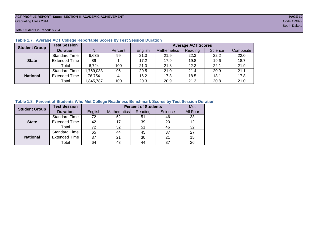#### **ACT PROFILE REPORT- State: SECTION II, ACADEMIC ACHIEVEMENT PAGE 10** Graduating Class 2014 Code 429999

Total Students in Report: 6,724

| <b>Student Group</b> | <b>Test Session</b>  |          |         |         |             | <b>Average ACT Scores</b> |         |           |
|----------------------|----------------------|----------|---------|---------|-------------|---------------------------|---------|-----------|
|                      | <b>Duration</b>      | N        | Percent | English | Mathematics | Reading                   | Science | Composite |
|                      | <b>Standard Time</b> | 6,635    | 99      | 21.0    | 21.9        | 22.3                      | 22.2    | 22.0      |
| <b>State</b>         | <b>Extended Time</b> | 89       |         | 17.2    | 17.9        | 19.8                      | 19.6    | 18.7      |
|                      | Total                | 6.724    | 100     | 21.0    | 21.8        | 22.3                      | 22.1    | 21.9      |
|                      | <b>Standard Time</b> | ,769,033 | 96      | 20.5    | 21.0        | 21.4                      | 20.9    | 21.1      |
| <b>National</b>      | <b>Extended Time</b> | 76,754   | 4       | 16.2    | 17.8        | 18.5                      | 18.1    | 17.8      |
|                      | Total                | ,845,787 | 100     | 20.3    | 20.9        | 21.3                      | 20.8    | 21.0      |

#### **Table 1.7. Average ACT College Reportable Scores by Test Session Duration**

#### **Table 1.8. Percent of Students Who Met College Readiness Benchmark Scores by Test Session Duration**

| <b>Student Group</b> | <b>Test Session</b>  |         |             | <b>Percent of Students</b> |         | Met      |
|----------------------|----------------------|---------|-------------|----------------------------|---------|----------|
|                      | <b>Duration</b>      | English | Mathematics | Reading                    | Science | All Four |
|                      | <b>Standard Time</b> | 72      | 52          | 51                         | 46      | 33       |
| <b>State</b>         | <b>Extended Time</b> | 42      |             | 39                         | 20      | 12       |
|                      | Total                | 72      | 52          | 51                         | 46      | 32       |
|                      | <b>Standard Time</b> | 65      | 44          | 45                         | 37      | 27       |
| <b>National</b>      | <b>Extended Time</b> | 37      | 21          | 30                         | 21      | 15       |
|                      | Total                | 64      | 43          | 44                         | 37      | 26       |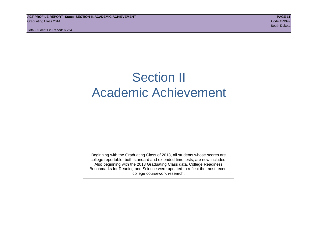## Section II Academic Achievement

Beginning with the Graduating Class of 2013, all students whose scores are college reportable, both standard and extended time tests, are now included. Also beginning with the 2013 Graduating Class data, College Readiness Benchmarks for Reading and Science were updated to reflect the most recent college coursework research.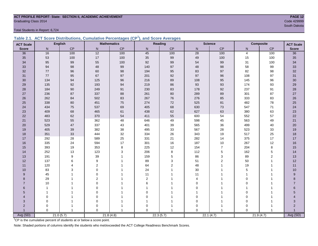## **ACT PROFILE REPORT- State: SECTION II, ACADEMIC ACHIEVEMENT PAGE 12** Graduating Class 2014 Code 429999

Total Students in Report: 6,724

|  | Table 2.1. ACT Score Distributions, Cumulative Percentages (CP <sup>1</sup> ), and Score Averages |  |  |  |
|--|---------------------------------------------------------------------------------------------------|--|--|--|
|  |                                                                                                   |  |  |  |

| <b>ACT Scale</b> |                | <b>English</b> |                  | <b>Mathematics</b> |                | Reading   |              | <b>Science</b> |                | Composite      | <b>ACT Scale</b> |
|------------------|----------------|----------------|------------------|--------------------|----------------|-----------|--------------|----------------|----------------|----------------|------------------|
| <b>Score</b>     | N <sub>1</sub> | CP             | N                | CP                 | N <sub>1</sub> | CP        | $\mathsf{N}$ | CP             | N <sub>1</sub> | CP             | <b>Score</b>     |
| 36               | 16             | 100            | $12$             | 100                | 45             | 100       | 28           | 100            | $\overline{4}$ | 100            | 36               |
| 35               | 53             | 100            | $17\,$           | 100                | 35             | 99        | 49           | 100            | 15             | 100            | 35               |
| 34               | 95             | 99             | 55               | 100                | 92             | 99        | 54           | 99             | 31             | 100            | 34               |
| 33               | 94             | 98             | 48               | 99                 | 140            | 97        | 48           | 98             | 58             | 99             | 33               |
| 32               | 77             | 96             | 60               | 98                 | 194            | 95        | 83           | 97             | 82             | 98             | 32               |
| 31               | 77             | 95             | 67               | 97                 | 201            | 92        | 97           | 96             | 108            | 97             | 31               |
| 30               | 134            | 94             | 125              | 96                 | 216            | 89        | 108          | 95             | 145            | 96             | 30 <sub>o</sub>  |
| 29               | 135            | 92             | 193              | 94                 | 219            | 86        | 93           | 93             | 174            | 93             | 29               |
| 28               | 184            | 90             | 249              | 91                 | 230            | 83        | 178          | 92             | 237            | 91             | 28               |
| 27               | 236            | 87             | 337              | 88                 | 261            | 80        | 289          | 89             | 301            | 87             | 27               |
| 26               | 262            | 84             | 502              | 83                 | 267            | 76        | 276          | 85             | 333            | 83             | 26               |
| 25               | 338            | 80             | 451              | 75                 | 274            | 72        | 525          | 81             | 482            | 78             | 25               |
| 24               | 434            | 75             | 537              | 69                 | 405            | 68        | 630          | 73             | 547            | 71             | 24               |
| 23               | 409            | 68             | 465              | 61                 | 438            | 62        | 627          | 63             | 380            | 63             | 23               |
| 22               | 483            | 62             | 370              | 54                 | 411            | 55        | 600          | 54             | 552            | 57             | 22               |
| 21               | 523            | 55             | 362              | 48                 | 646            | 49        | 598          | 45             | 563            | 49             | 21               |
| 20               | 529            | 47             | 337              | 43                 | 401            | 39        | 565          | 36             | 499            | 40             | $20\,$           |
| 19               | 405            | 39             | 382              | 38                 | 495            | 33        | 567          | 28             | 523            | 33             | 19               |
| 18               | 351            | 33             | 444              | 32                 | 334            | 26        | 343          | 19             | 517            | 25             | 18               |
| 17               | 292            | 28             | 589              | 25                 | 331            | 21        | 282          | 14             | 375            | 17             | 17               |
| 16               | 335            | 24             | 594              | 17                 | 301            | 16        | 187          | 10             | 267            | 12             | 16               |
| 15               | 393            | 19             | 353              | 8                  | 225            | 12        | 154          | $\overline{7}$ | 204            | 8              | 15               |
| 14               | 252            | 13             | 123              | $\sqrt{3}$         | 206            | 8         | 112          | 5              | 162            | 5              | 14               |
| 13               | 191            | 9              | 39               |                    | 159            | 5         | 86           | 3              | 89             | $\overline{c}$ | 13               |
| 12               | 137            | 6              | $\boldsymbol{9}$ |                    | 89             | 3         | 51           | $\overline{c}$ | 50             | 1              | 12               |
| 11               | 120            | 4              | 2                |                    | 64             | 2         | 48           |                | 19             |                | 11               |
| 10               | 83             | 3              | $\Omega$         |                    | 24             |           | 30           |                | 5              |                | 10               |
| 9                | 45             |                | $\Omega$         |                    | 11             |           | 11           |                |                | 1              | $\boldsymbol{9}$ |
| 8                | 29             |                | $\overline{2}$   |                    | 2              |           | 4            |                | $\Omega$       |                | 8                |
| $\overline{7}$   | 10             |                | $\Omega$         |                    | 6              |           | $\Omega$     |                | $\Omega$       |                | $\overline{7}$   |
| 6                |                |                | $\Omega$         |                    |                |           | $\Omega$     |                |                |                | 6                |
| 5                |                |                | $\Omega$         |                    | $\mathbf 0$    |           | 1            |                | $\Omega$       |                | 5                |
| $\overline{4}$   | 0              |                | 0                |                    | $\mathbf 0$    |           | 0            |                | 0              |                | 4                |
| 3                | 0              |                | 0                |                    |                |           | $\mathbf 0$  |                | $\mathbf 0$    |                | 3                |
| $\overline{2}$   | 0              |                | 0                |                    | 0              |           | 0            |                | $\Omega$       |                | $\overline{c}$   |
| $\overline{1}$   | $\Omega$       | $\mathbf{1}$   | $\Omega$         |                    | $\Omega$       |           | $\Omega$     | $\overline{1}$ | $\Omega$       |                | Avg (SD)         |
| Avg (SD)         |                | 21.0(5.7)      |                  | 21.8(4.8)          |                | 22.3(5.7) |              | 22.1(4.7)      |                | 21.9(4.7)      |                  |

<sup>1</sup>CP is the cumulative percent of students at or below a score point.

Note: Shaded portions of columns identify the students who met/exceeded the ACT College Readiness Benchmark Scores.

South Dakota (1999) and the state of the state of the state of the state of the state of the South Dakota (199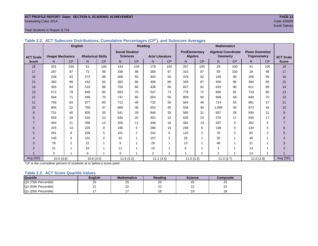#### **ACT PROFILE REPORT- State: SECTION II, ACADEMIC ACHIEVEMENT PAGE 13** Graduating Class 2014 Code 429999

#### Total Students in Report: 6,724

|                  | <b>English</b>          |                |                          |                |                        |                         | Reading                |     | <b>Mathematics</b>    |                |                            |                          |                        |     |                  |
|------------------|-------------------------|----------------|--------------------------|----------------|------------------------|-------------------------|------------------------|-----|-----------------------|----------------|----------------------------|--------------------------|------------------------|-----|------------------|
|                  |                         |                |                          |                | <b>Social Studies/</b> |                         |                        |     | <b>Pre/Elementary</b> |                | <b>Algebra/ Coordinate</b> |                          | <b>Plane Geometry/</b> |     |                  |
| <b>ACT Scale</b> | <b>Usage/ Mechanics</b> |                | <b>Rhetorical Skills</b> |                | <b>Sciences</b>        |                         | <b>Arts/Literature</b> |     | Algebra               |                | <b>Geometry</b>            |                          | <b>Trigonometry</b>    |     | <b>ACT Scale</b> |
| <b>Score</b>     | N.                      | <b>CP</b>      | N                        | CP             | N                      | <b>CP</b>               | N                      | CP  | N                     | <b>CP</b>      | N                          | CP                       | N                      | CP  | <b>Score</b>     |
| 18               | 201                     | 100            | 51                       | 100            | 143                    | 100                     | 179                    | 100 | 207                   | 100            | 29                         | 100                      | 41                     | 100 | 18               |
| 17               | 287                     | 97             | 73                       | 99             | 336                    | 98                      | 358                    | 97  | 310                   | 97             | 59                         | 100                      | 28                     | 99  | 17               |
| 16               | 238                     | 93             | 272                      | 98             | 468                    | 93                      | 404                    | 92  | 379                   | 92             | 158                        | 99                       | 258                    | 99  | 16               |
| 15               | 360                     | 89             | 443                      | 94             | 382                    | 86                      | 406                    | 86  | 349                   | 87             | 406                        | 96                       | 394                    | 95  | 15               |
| 14               | 305                     | 84             | 516                      | 88             | 705                    | 80                      | 438                    | 80  | 657                   | 81             | 635                        | 90                       | 611                    | 89  | 14               |
| 13               | 572                     | 79             | 648                      | 80             | 683                    | 70                      | 547                    | 73  | 778                   | 72             | 860                        | 81                       | 710                    | 80  | 13               |
| 12               | 504                     | 71             | 699                      | 70             | 747                    | 60                      | 654                    | 65  | 809                   | 60             | 899                        | 68                       | 849                    | 70  | 12               |
| 11               | 759                     | 63             | 877                      | 60             | 712                    | 48                      | 732                    | 56  | 564                   | 48             | 714                        | 55                       | 891                    | 57  | 11               |
| 10               | 804                     | 52             | 759                      | 47             | 669                    | 38                      | 653                    | 45  | 558                   | 40             | 1.099                      | 44                       | 873                    | 44  | 10               |
| 9                | 751                     | 40             | 835                      | 35             | 541                    | 28                      | 846                    | 35  | 580                   | 31             | 697                        | 28                       | 934                    | 31  | 9                |
| 8                | 559                     | 29             | 616                      | 23             | 630                    | 20                      | 401                    | 22  | 635                   | 23             | 570                        | 17                       | 545                    | 17  | 8                |
| $\overline{7}$   | 464                     | 21             | 358                      | 14             | 356                    | 11                      | 448                    | 16  | 492                   | 13             | 287                        | 9                        | 282                    | 9   | $\overline{7}$   |
| 6                | 378                     | 14             | 235                      | 9              | 196                    | 5                       | 268                    | 10  | 248                   | 6              | 148                        | 5                        | 130                    | 5   | 6                |
| 5                | 291                     | 8              | 209                      | 5              | 101                    | 2                       | 242                    | 6   | 110                   | $\overline{2}$ | 76                         | 2                        | 82                     | 3   | 5                |
| 4                | 149                     | 4              | 101                      | $\overline{2}$ | 32                     | $\overline{ }$          | 107                    | 2   | 28                    | 1              | 35                         | $\overline{ }$           | 49                     | 1   | 4                |
| 3                | 78                      | $\overline{2}$ | 22                       | 1              | 9                      | $\overline{\mathbf{A}}$ | 29                     |     | 13                    |                | 48                         |                          | 21                     | 1   | 3                |
| $\overline{2}$   | 21                      |                | 10                       | 1              | 11                     | $\overline{ }$          | 10                     |     | 6                     |                | $\overline{2}$             | $\overline{\phantom{a}}$ | 13                     | 1   | $\overline{2}$   |
|                  | 3                       |                | $\mathbf 0$              | 1              | 3                      |                         | $\overline{2}$         |     |                       |                | $\overline{2}$             | $\overline{\phantom{a}}$ | 13                     | 1   |                  |
| Avg (SD)         | 10.5(3.6)               |                | 10.8(3.0)                |                | 11.6(3.2)              |                         | 11.1(3.5)              |     | 11.5(3.3)             |                | 11.0(2.7)                  |                          | 11.0(2.8)              |     | Avg (SD)         |

**Table 2.2. ACT Subscore Distributions, Cumulative Percentages (CP<sup>1</sup> ), and Subscore Averages**

 $1^{\circ}$ CP is the cumulative percent of students at or below a score point.

#### **Table 2.3. ACT Score Quartile Values**

| <b>Quartile</b>      | Enalish  | <b>Mathematics</b> | Reading           | <b>Science</b>  | Composite |
|----------------------|----------|--------------------|-------------------|-----------------|-----------|
| Q3 (75th Percentile) | 25       | ົ<br>25            | nc<br>40          | 25              | 25        |
| Q2 (50th Percentile) | ົ<br>_ _ | ົ<br>∼             | $\sim$<br>∠∠      | ົດ<br><u>__</u> | nn<br>--  |
| Q1 (25th Percentile) |          |                    | $\Delta$ $\Omega$ | 19              |           |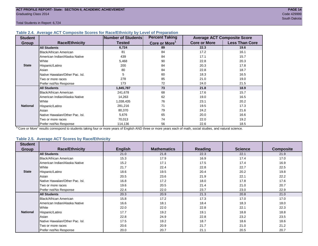Total Students in Report: 6,724

#### **Table 2.4. Average ACT Composite Scores for Race/Ethnicity by Level of Preparation**

| <b>Student</b>  |                                 | <b>Number of Students</b> | <b>Percent Taking</b>     |                     | <b>Average ACT Composite Score</b> |
|-----------------|---------------------------------|---------------------------|---------------------------|---------------------|------------------------------------|
| <b>Group</b>    | <b>Race/Ethnicity</b>           | <b>Tested</b>             | Core or More <sup>1</sup> | <b>Core or More</b> | <b>Less Than Core</b>              |
|                 | <b>All Students</b>             | 6,724                     | 89                        | 22.3                | 19.6                               |
|                 | Black/African American          | 81                        | 84                        | 17.2                | 16.1                               |
|                 | American Indian/Alaska Native   | 439                       | 84                        | 17.1                | 15.7                               |
|                 | White                           | 5,468                     | 90                        | 22.8                | 20.3                               |
| <b>State</b>    | Hispanic/Latino                 | 200                       | 84                        | 20.3                | 17.8                               |
|                 | Asian                           | 80                        | 84                        | 22.8                | 18.7                               |
|                 | Native Hawaiian/Other Pac. Isl. | 5                         | 60                        | 18.3                | 16.5                               |
|                 | Two or more races               | 278                       | 85                        | 21.0                | 19.0                               |
|                 | Prefer not/No Response          | 173                       | 72                        | 24.0                | 21.5                               |
|                 | <b>All Students</b>             | 1,845,787                 | 73                        | 21.8                | 18.9                               |
|                 | Black/African American          | 241,678                   | 68                        | 17.6                | 15.7                               |
|                 | American Indian/Alaska Native   | 14,263                    | 62                        | 19.0                | 16.5                               |
|                 | White                           | 1,038,435                 | 76                        | 23.1                | 20.2                               |
| <b>National</b> | Hispanic/Latino                 | 281,216                   | 71                        | 19.5                | 17.3                               |
|                 | Asian                           | 80,370                    | 79                        | 24.2                | 21.6                               |
|                 | Native Hawaiian/Other Pac. Isl. | 5,676                     | 65                        | 20.0                | 16.6                               |
|                 | Two or more races               | 70,013                    | 74                        | 22.0                | 19.2                               |
|                 | Prefer not/No Response          | 114,136                   | 56                        | 22.6                | 18.5                               |

<sup>1</sup>"Core or More" results correspond to students taking four or more years of English AND three or more years each of math, social studies, and natural science.

#### **Table 2.5. Average ACT Scores by Race/Ethnicity**

| <b>Student</b>  |                                 |                |                    |         |                |                  |
|-----------------|---------------------------------|----------------|--------------------|---------|----------------|------------------|
| Group           | <b>Race/Ethnicity</b>           | <b>English</b> | <b>Mathematics</b> | Reading | <b>Science</b> | <b>Composite</b> |
|                 | <b>All Students</b>             | 21.0           | 21.8               | 22.3    | 22.1           | 21.9             |
|                 | <b>Black/African American</b>   | 15.3           | 17.9               | 16.9    | 17.4           | 17.0             |
|                 | American Indian/Alaska Native   | 15.2           | 17.1               | 17.5    | 17.4           | 16.9             |
|                 | White                           | 21.7           | 22.4               | 22.8    | 22.7           | 22.5             |
| <b>State</b>    | Hispanic/Latino                 | 18.6           | 19.5               | 20.4    | 20.2           | 19.8             |
|                 | Asian                           | 20.5           | 23.6               | 21.9    | 22.1           | 22.2             |
|                 | Native Hawaiian/Other Pac. Isl. | 16.8           | 17.2               | 18.0    | 17.8           | 17.6             |
|                 | Two or more races               | 19.6           | 20.5               | 21.4    | 21.0           | 20.7             |
|                 | Prefer not/No Response          | 22.4           | 22.0               | 23.7    | 23.0           | 22.9             |
|                 | <b>All Students</b>             | 20.3           | 20.9               | 21.3    | 20.8           | 21.0             |
|                 | <b>Black/African American</b>   | 15.8           | 17.2               | 17.3    | 17.0           | 17.0             |
|                 | American Indian/Alaska Native   | 16.6           | 18.1               | 18.4    | 18.3           | 18.0             |
|                 | <b>White</b>                    | 22.0           | 22.0               | 22.8    | 22.1           | 22.3             |
| <b>National</b> | Hispanic/Latino                 | 17.7           | 19.2               | 19.1    | 18.8           | 18.8             |
|                 | Asian                           | 22.8           | 24.9               | 22.8    | 23.2           | 23.5             |
|                 | Native Hawaiian/Other Pac. Isl. | 17.5           | 19.2               | 18.7    | 18.6           | 18.6             |
|                 | Two or more races               | 20.6           | 20.9               | 21.7    | 21.0           | 21.2             |
|                 | Prefer not/No Response          | 20.0           | 20.7               | 21.1    | 20.5           | 20.7             |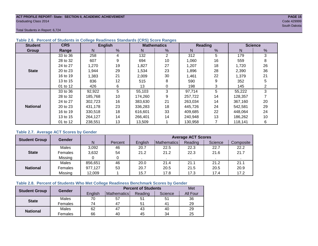#### **ACT PROFILE REPORT- State: SECTION II, ACADEMIC ACHIEVEMENT PAGE 15** Graduating Class 2014 Code 429999

South Dakota

Total Students in Report: 6,724

| <b>Student</b>  | <b>CRS</b> |         | <b>English</b> |         | <b>Mathematics</b> |         | Reading       |         | <b>Science</b> |
|-----------------|------------|---------|----------------|---------|--------------------|---------|---------------|---------|----------------|
| Group           | Range      | N.      | %              | N       | %                  | N       | $\frac{9}{6}$ | N       | %              |
|                 | 33 to 36   | 258     | 4              | 132     | $\overline{2}$     | 312     | 5             | 179     | 3              |
|                 | 28 to 32   | 607     | 9              | 694     | 10                 | 1,060   | 16            | 559     | 8              |
|                 | 24 to 27   | 1,270   | 19             | 1,827   | 27                 | 1,207   | 18            | 1,720   | 26             |
| <b>State</b>    | 20 to 23   | 1,944   | 29             | 1,534   | 23                 | 1,896   | 28            | 2,390   | 36             |
|                 | 16 to 19   | 1,383   | 21             | 2,009   | 30                 | 1,461   | 22            | 1,379   | 21             |
|                 | 13 to 15   | 836     | 12             | 515     | 8                  | 590     | 9             | 352     | 5              |
|                 | 01 to 12   | 426     | 6              | 13      | 0                  | 198     | 3             | 145     | 2              |
|                 | 33 to 36   | 92,922  | 5              | 55,103  | 3                  | 97,714  | 5             | 55,222  | 3              |
|                 | 28 to 32   | 185,768 | 10             | 174,260 | 9                  | 257,722 | 14            | 128,357 |                |
|                 | 24 to 27   | 302,723 | 16             | 383,630 | 21                 | 263,034 | 14            | 367,160 | 20             |
| <b>National</b> | 20 to 23   | 431.178 | 23             | 336.283 | 18                 | 445,726 | 24            | 542,581 | 29             |
|                 | 16 to 19   | 330,518 | 18             | 616,601 | 33                 | 409,685 | 22            | 448,064 | 24             |
|                 | 13 to 15   | 264,127 | 14             | 266,401 | 14                 | 240,948 | 13            | 186,262 | 10             |
|                 | 01 to 12   | 238,551 | 13             | 13,509  |                    | 130,958 |               | 118,141 | 6              |

#### **Table 2.6. Percent of Students in College Readiness Standards (CRS) Score Ranges**

#### **Table 2.7. Average ACT Scores by Gender**

| <b>Student Group</b> | <b>Gender</b>  |         |         | <b>Average ACT Scores</b> |             |         |         |           |  |  |  |
|----------------------|----------------|---------|---------|---------------------------|-------------|---------|---------|-----------|--|--|--|
|                      |                | N       | Percent | Enalish                   | Mathematics | Reading | Science | Composite |  |  |  |
|                      | Males          | 3,092   | 46      | 20.7                      | 22.5        | 22.3    | 22.7    | 22.2      |  |  |  |
| <b>State</b>         | Females        | 3,632   | 54      | 21.2                      | 21.2        | 22.3    | 21.6    | 21.7      |  |  |  |
|                      | Missing        |         | 0       |                           |             |         |         |           |  |  |  |
|                      | Males          | 856,651 | 46      | 20.0                      | 21.4        | 21.1    | 21.2    | 21.1      |  |  |  |
| <b>National</b>      | <b>Females</b> | 977,127 | 53      | 20.7                      | 20.5        | 21.5    | 20.5    | 20.9      |  |  |  |
|                      | Missing        | 12,009  |         | 15.7                      | 17.8        | 17.3    | 17.4    | 17.2      |  |  |  |

#### **Table 2.8. Percent of Students Who Met College Readiness Benchmark Scores by Gender**

| <b>Student Group</b> | Gender       |         | <b>Met</b>  |         |         |          |
|----------------------|--------------|---------|-------------|---------|---------|----------|
|                      |              | English | Mathematics | Reading | Science | All Four |
| <b>State</b>         | <b>Males</b> | 70      | 57          | 51      | 51      | 36       |
|                      | Females      | 74      | 47          | 51      | 41      | 29       |
| <b>National</b>      | <b>Males</b> | 62      | 47          | 43      | 40      | 29       |
|                      | Females      | 66      | 40          | 45      | 34      | 25       |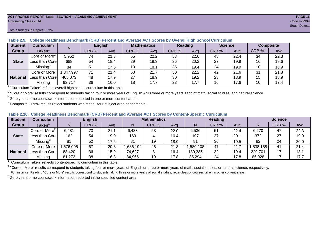#### **ACT PROFILE REPORT- State: SECTION II, ACADEMIC ACHIEVEMENT PAGE 16** Graduating Class 2014 Code 429999

#### Total Students in Report: 6,724

|                 |                                         |           | <b>English</b><br>Reading<br><b>Mathematics</b> |      |       |      |       |      |       |                |                       |           |
|-----------------|-----------------------------------------|-----------|-------------------------------------------------|------|-------|------|-------|------|-------|----------------|-----------------------|-----------|
| <b>Student</b>  | <b>Curriculum</b>                       | N         |                                                 |      |       |      |       |      |       | <b>Science</b> |                       | Composite |
| <b>Group</b>    | Taken $^{\scriptscriptstyle\mathsf{T}}$ |           | CRB %                                           | Avg  | CRB % | Avg  | CRB % | Avg  | CRB % | Ava            | $CRB \%$ <sup>4</sup> | Avg       |
|                 | Core or More <sup>2</sup>               | 5,952     | 74                                              | 21.3 | 55    | 22.2 | 53    | 22.6 | 48    | 22.4           | 34                    | 22.3      |
| <b>State</b>    | Less than Core                          | 688       | 54                                              | 18.4 | 29    | 19.3 | 36    | 20.2 | 27    | 19.9           | 16                    | 19.6      |
|                 | Missing <sup>3</sup>                    | 84        | 51                                              | 17.5 | 19    | 18.1 | 35    | 19.4 | 24    | 19.9           | 10                    | 18.9      |
|                 | Core or More                            | 1,347,997 | 71                                              | 21.4 | 50    | 21.7 | 50    | 22.2 | 42    | 21.6           | 31                    | 21.8      |
| <b>National</b> | Less than Core                          | 405,073   | 48                                              | 17.9 | 27    | 18.9 | 30    | 19.2 | 23    | 18.9           | 15                    | 18.9      |
|                 | Missing                                 | 92,717    | 36                                              | 16.0 | 18    | 17.7 | 23    | 17.7 | 16    | 17.6           | 10                    | 17.4      |

**Table 2.9. College Readiness Benchmark (CRB) Percent and Average ACT Scores by Overall High School Curriculum**

1 "Curriculum Taken" reflects overall high school curriculum in this table.

 $^2$  "Core or More" results correspond to students taking four or more years of English AND three or more years each of math, social studies, and natural science.

 $3$  Zero years or no coursework information reported in one or more content areas.

 $4$  Composite CRB% results reflect students who met all four subject-area benchmarks.

|  |  |  |  |  | Table 2.10. College Readiness Benchmark (CRB) Percent and Average ACT Scores by Content-Specific Curriculum |
|--|--|--|--|--|-------------------------------------------------------------------------------------------------------------|
|--|--|--|--|--|-------------------------------------------------------------------------------------------------------------|

| <b>Student</b>  | Curriculum                |           | <b>English</b> |      |          | <b>Mathematics</b> |      |          | <b>Reading</b> |      |          | <b>Science</b> |      |  |
|-----------------|---------------------------|-----------|----------------|------|----------|--------------------|------|----------|----------------|------|----------|----------------|------|--|
| Group           | <b>Taken</b>              |           | CRB %          | Avg  | N        | CRB %              | Avg  | N        | CRB %          | Avg  | N        | CRB %          | Avg  |  |
|                 | Core or More <sup>2</sup> | 6,481     | 73             | 21.1 | 6,483    | 53                 | 22.0 | 6,536    | 51             | 22.4 | 6,270    | 47             | 22.3 |  |
| <b>State</b>    | Less than Corel           | 162       | 54             | 19.0 | 160      |                    | 16.4 | 107      | 37             | 20.7 | 372      | 27             | 19.9 |  |
|                 | Missing <sup>3</sup>      | 81        | 52             | 17.6 | 81       | 19                 | 18.0 | 81       | 36             | 19.5 | 82       | 24             | 20.0 |  |
|                 | Core or More              | 1,676,095 | 67             | 20.8 | ,686,194 | 46                 | 21.3 | ,580,108 | 47             | 21.7 | .538,158 | 41             | 21.4 |  |
| <b>National</b> | "Less than Core           | 88,420    | 36             | 15.9 | 74,627   |                    | 16.4 | 180,385  | 32             | 19.4 | 220,701  |                | 18.1 |  |
|                 | Missing                   | 81,272    | 38             | 16.3 | 84,966   | 19                 | 17.8 | 85,294   | 24             | 17.8 | 86,928   |                | 17.7 |  |

<sup>1</sup>"Curriculum Taken" reflects content-specific curriculum in this table.

<sup>2</sup> "Core or More" results correspond to students taking four or more years of English or three or more years of math, social studies, or natural science, respectively. For instance, Reading "Core or More" results correspond to students taking three or more years of social studies, regardless of courses taken in other content areas.

 $3$  Zero years or no coursework information reported in the specified content area.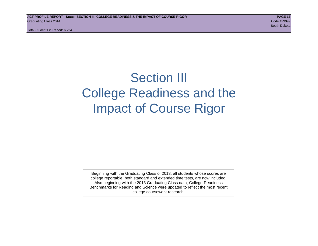Total Students in Report: 6,724

## Section III College Readiness and the Impact of Course Rigor

Beginning with the Graduating Class of 2013, all students whose scores are college reportable, both standard and extended time tests, are now included. Also beginning with the 2013 Graduating Class data, College Readiness Benchmarks for Reading and Science were updated to reflect the most recent college coursework research.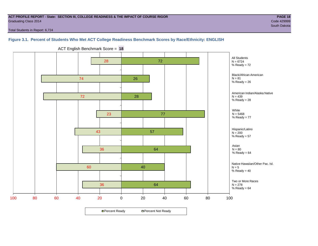#### **ACT PROFILE REPORT - State: SECTION III, COLLEGE READINESS & THE IMPACT OF COURSE RIGOR PAGE 18** Graduating Class 2014 Code 429999

Total Students in Report: 6,724

### **Figure 3.1. Percent of Students Who Met ACT College Readiness Benchmark Scores by Race/Ethnicity: ENGLISH**



ACT English Benchmark Score = **18**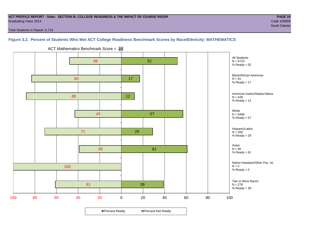#### **ACT PROFILE REPORT - State: SECTION III, COLLEGE READINESS & THE IMPACT OF COURSE RIGOR PAGE 19** Graduating Class 2014 Code 429999

Total Students in Report: 6,724

### **Figure 3.2. Percent of Students Who Met ACT College Readiness Benchmark Scores by Race/Ethnicity: MATHEMATICS**



ACT Mathematics Benchmark Score = **22**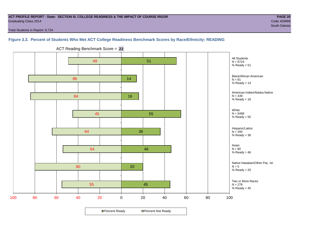#### **ACT PROFILE REPORT - State: SECTION III, COLLEGE READINESS & THE IMPACT OF COURSE RIGOR PAGE 20** Graduating Class 2014 Code 429999

Total Students in Report: 6,724

#### **Figure 3.3. Percent of Students Who Met ACT College Readiness Benchmark Scores by Race/Ethnicity: READING**



ACT Reading Benchmark Score = **22**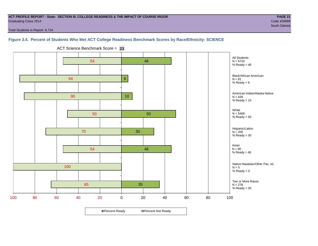#### **ACT PROFILE REPORT - State: SECTION III, COLLEGE READINESS & THE IMPACT OF COURSE RIGOR PAGE 21** Graduating Class 2014 Code 429999

Total Students in Report: 6,724

#### **Figure 3.4. Percent of Students Who Met ACT College Readiness Benchmark Scores by Race/Ethnicity: SCIENCE**



ACT Science Benchmark Score = **23**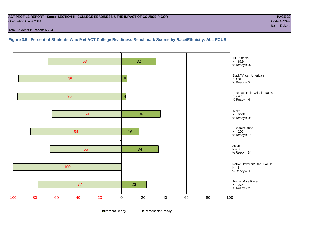#### **ACT PROFILE REPORT - State: SECTION III, COLLEGE READINESS & THE IMPACT OF COURSE RIGOR PAGE 22** Graduating Class 2014 Code 429999

Total Students in Report: 6,724

#### **Figure 3.5. Percent of Students Who Met ACT College Readiness Benchmark Scores by Race/Ethnicity: ALL FOUR**

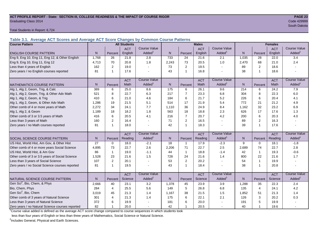#### **ACT PROFILE REPORT - State: SECTION III, COLLEGE READINESS & THE IMPACT OF COURSE RIGOR PAGE 23** Graduating Class 2014 Code 429999

Total Students in Report: 6,724

**Table 3.1. Average ACT Scores and Average ACT Score Changes by Common Course Patterns**

| <b>Course Pattern</b>                            |                |                | <b>All Students</b> |                     |                 |                | <b>Males</b> |                     |                  | <b>Females</b> |            |                        |
|--------------------------------------------------|----------------|----------------|---------------------|---------------------|-----------------|----------------|--------------|---------------------|------------------|----------------|------------|------------------------|
|                                                  |                |                | <b>ACT</b>          | <b>Course Value</b> |                 |                | <b>ACT</b>   | <b>Course Value</b> |                  |                | <b>ACT</b> | <b>Course Value</b>    |
| <b>ENGLISH COURSE PATTERN</b>                    | N              | Percent        | English             | Added <sup>1</sup>  | N               | Percent        | English      | Added               | $\mathsf{N}$     | Percent        | English    | A d d e d <sup>1</sup> |
| Eng 9, Eng 10, Eng 11, Eng 12, & Other English   | 1,768          | 26             | 21.8                | 2.8                 | 733             | 24             | 21.6         | 2.1                 | 1,035            | 28             | 22.0       | 3.4                    |
| Eng 9, Eng 10, Eng 11, Eng 12                    | 4,713          | 70             | 20.8                | 1.8                 | 2,243           | 73             | 20.5         | 1.0                 | 2,470            | 68             | 21.0       | 2.4                    |
| Less than 4 years of English                     | 162            | 2              | 19.0                |                     | 73              | 2              | 19.5         | $\overline{a}$      | 89               | 2              | 18.6       |                        |
| Zero years / no English courses reported         | 81             | $\mathbf 1$    | 17.6                |                     | 43              | $\mathbf{1}$   | 16.8         |                     | 38               | 1              | 18.6       |                        |
|                                                  |                |                | <b>ACT</b>          | <b>Course Value</b> |                 |                | <b>ACT</b>   | <b>Course Value</b> |                  |                | <b>ACT</b> | <b>Course Value</b>    |
| <b>MATHEMATICS COURSE PATTERN</b>                | N <sub>1</sub> | Percent        | Math                | Added               | N               | Percent        | Math         | Added <sup>1</sup>  | N                | Percent        | Math       | Added <sup>1</sup>     |
| Alg 1, Alg 2, Geom, Trig, & Calc                 | 389            | 6              | 25.0                | 8.6                 | $\frac{1}{175}$ | 6              | 26.1         | 9.6                 | $\overline{214}$ | 6              | 24.2       | 7.9                    |
| Alg 1, Alg 2, Geom, Trig, & Other Adv Math       | 521            | 8              | 22.7                | 6.3                 | 217             | $\overline{7}$ | 23.3         | 6.8                 | 304              | 8              | 22.3       | 6.0                    |
| Alg 1, Alg 2, Geom, & Trig                       | 410            | 6              | 21.0                | 4.6                 | 184             | 6              | 21.7         | 5.2                 | 226              | 6              | 20.4       | 4.1                    |
| Alg 1, Alg 2, Geom, & Other Adv Math             | 1,286          | 19             | 21.5                | 5.1                 | 514             | 17             | 21.9         | 5.4                 | 772              | 21             | 21.2       | 4.9                    |
| Other comb of 4 or more years of Math            | 2,272          | 34             | 24.1                | 7.7                 | 1,110           | 36             | 24.9         | 8.4                 | 1,162            | 32             | 23.2       | 6.9                    |
| Alg 1, Alg 2, & Geom                             | 1.189          | 18             | 18.2                | 1.8                 | 563             | 18             | 18.8         | 2.3                 | 626              | 17             | 17.6       | 1.3                    |
| Other comb of 3 or 3.5 years of Math             | 416            | 6              | 20.5                | 4.1                 | 216             | $\overline{7}$ | 20.7         | 4.2                 | 200              | 6              | 20.3       | 4.0                    |
| Less than 3 years of Math                        | 160            | $\overline{2}$ | 16.4                |                     | 71              | 2              | 16.5         |                     | 89               | $\overline{2}$ | 16.3       |                        |
| Zero years / no Math courses reported            | 81             | $\mathbf 1$    | 18.0                |                     | 42              | $\mathbf{1}$   | 18.3         |                     | 39               | 1              | 17.6       |                        |
|                                                  |                |                | <b>ACT</b>          | <b>Course Value</b> |                 |                | <b>ACT</b>   | <b>Course Value</b> |                  |                | <b>ACT</b> | <b>Course Value</b>    |
| <b>SOCIAL SCIENCE COURSE PATTERN</b>             | N              | Percent        | Reading             | Added               | N               | Percent        | Reading      | Added               | N                | Percent        | Reading    | A d d e d <sup>1</sup> |
| US Hist, World Hist, Am Gov, & Other Hist        | 27             | $\mathbf 0$    | 18.0                | $-2.1$              | 18              | $\mathbf{1}$   | 17.9         | $-2.3$              | 9                | $\Omega$       | 18.1       | $-1.8$                 |
| Other comb of 4 or more years Social Science     | 4.895          | 73             | 22.7                | 2.6                 | 2,206           | 71             | 22.7         | 2.5                 | 2,689            | 74             | 22.7       | 2.8                    |
| US Hist, World Hist, & Am Gov                    | 86             | 1              | 19.0                | $-1.1$              | 44              | $\mathbf{1}$   | 18.8         | $-1.4$              | 42               | $\overline{1}$ | 19.3       | $-0.6$                 |
| Other comb of 3 or 3.5 years of Social Science   | 1,528          | 23             | 21.6                | 1.5                 | 728             | 24             | 21.6         | 1.4                 | 800              | 22             | 21.6       | 1.7                    |
| Less than 3 years of Social Science              | 107            | 2              | 20.1                |                     | 53              | $\overline{2}$ | 20.2         | $\sim$              | 54               | $\mathbf{1}$   | 19.9       |                        |
| Zero years / no Social Science courses reported  | 81             | $\mathbf 1$    | 19.5                |                     | 43              | $\mathbf{1}$   | 18.4         |                     | 38               | $\overline{1}$ | 20.8       | $\blacksquare$         |
|                                                  |                |                | <b>ACT</b>          | <b>Course Value</b> |                 |                | <b>ACT</b>   | <b>Course Value</b> |                  |                | <b>ACT</b> | <b>Course Value</b>    |
| NATURAL SCIENCE COURSE PATTERN                   | N <sub>1</sub> | Percent        | Science             | Added               | N.              | Percent        | Science      | Added               | N                | Percent        | Science    | A d d e d <sup>1</sup> |
| Gen Sci <sup>2</sup> , Bio, Chem, & Phys         | 2,666          | 40             | 23.1                | 3.2                 | 1,378           | 45             | 23.9         | 3.9                 | 1,288            | 35             | 22.3       | 2.4                    |
| Bio, Chem, Phys                                  | 284            | 4              | 25.5                | 5.6                 | 149             | 5              | 26.8         | 6.8                 | 135              | $\overline{4}$ | 24.1       | 4.2                    |
| Gen Sci <sup>2</sup> , Bio, Chem                 | 3,019          | 45             | 21.3                | 1.4                 | 1,167           | 38             | 21.5         | 1.5                 | 1,852            | 51             | 21.3       | 1.4                    |
| Other comb of 3 years of Natural Science         | 301            | 4              | 21.3                | 1.4                 | 175             | 6              | 22.1         | 2.1                 | 126              | 3              | 20.2       | 0.3                    |
| Less than 3 years of Natural Science             | 372            | 6              | 19.9                |                     | 181             | 6              | 20.0         |                     | 191              | 5              | 19.9       |                        |
| Zero years / no Natural Science courses reported | 82             |                | 20.0                |                     | 42              | $\overline{1}$ | 20.5         |                     | 40               | 1              | 19.6       |                        |

<sup>1</sup>Course value added is defined as the average ACT score change compared to course sequences in which students took

less than four years of English or less than three years of Mathematics, Social Science or Natural Science.

<sup>2</sup>Includes General, Physical and Earth Sciences.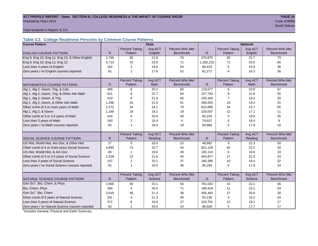#### ACT PROFILE REPORT - State: SECTION III, COLLEGE READINESS & THE IMPACT OF COURSE RIGOR **PAGE 24** Graduating Class 2014 Code 429999

South Dakota (1999) and the state of the state of the state of the state of the state of the South Dakota (199

Total Students in Report: 6,724

#### **Table 3.2. College Readiness Percents by Common Course Patterns**

| <b>Course Pattern</b>                            |              |                       | <b>State</b> |                  |              | <b>National</b><br><b>Percent Taking</b><br>Avg ACT |         |                  |  |
|--------------------------------------------------|--------------|-----------------------|--------------|------------------|--------------|-----------------------------------------------------|---------|------------------|--|
|                                                  |              | <b>Percent Taking</b> | Avg ACT      | Percent Who Met  |              |                                                     |         | Percent Who Met  |  |
| <b>ENGLISH COURSE PATTERN</b>                    | $\mathsf{N}$ | Pattern               | English      | <b>Benchmark</b> | $\mathsf{N}$ | Pattern                                             | English | <b>Benchmark</b> |  |
| Eng 9, Eng 10, Eng 11, Eng 12, & Other English   | 1,768        | 26                    | 21.8         | 76               | 370,875      | 20                                                  | 21.7    | 73               |  |
| Eng 9, Eng 10, Eng 11, Eng 12                    | 4,713        | 70                    | 20.8         | 71               | 1,305,220    | 71                                                  | 20.5    | 65               |  |
| Less than 4 years of English                     | 162          | 2                     | 19.0         | 54               | 88,420       | 5                                                   | 15.9    | 36               |  |
| Zero years / no English courses reported         | 81           | 1                     | 17.6         | 52               | 81,272       | 4                                                   | 16.3    | 38               |  |
|                                                  |              |                       |              |                  |              |                                                     |         |                  |  |
|                                                  |              | <b>Percent Taking</b> | Avg ACT      | Percent Who Met  |              | <b>Percent Taking</b>                               | Avg ACT | Percent Who Met  |  |
| <b>MATHEMATICS COURSE PATTERN</b>                | N            | Pattern               | Math         | <b>Benchmark</b> | N            | Pattern                                             | Math    | <b>Benchmark</b> |  |
| Alg 1, Alg 2, Geom, Trig, & Calc                 | 389          | 6                     | 25.0         | 80               | 118,677      | 6                                                   | 23.8    | 67               |  |
| Alg 1, Alg 2, Geom, Trig, & Other Adv Math       | 521          | 8                     | 22.7         | 64               | 157,764      | 9                                                   | 21.8    | 55               |  |
| Alg 1, Alg 2, Geom, & Trig                       | 410          | 6                     | 21.0         | 46               | 120,160      | $\overline{7}$                                      | 19.3    | 30               |  |
| Alg 1, Alg 2, Geom, & Other Adv Math             | 1,286        | 19                    | 21.5         | 51               | 356,555      | 19                                                  | 19.4    | 31               |  |
| Other comb of 4 or more years of Math            | 2,272        | 34                    | 24.1         | 70               | 622,896      | 34                                                  | 23.7    | 65               |  |
| Alg 1, Alg 2, & Geom                             | 1,189        | 18                    | 18.2         | 18               | 220,037      | 12                                                  | 17.1    | 11               |  |
| Other comb of 3 or 3.5 years of Math             | 416          | 6                     | 20.5         | 39               | 90,105       | 5                                                   | 19.8    | 35               |  |
| Less than 3 years of Math                        | 160          | 2                     | 16.4         | $\overline{4}$   | 74,627       | 4                                                   | 16.4    | 8                |  |
| Zero years / no Math courses reported            | 81           | 1                     | 18.0         | 19               | 84,966       | 5                                                   | 17.8    | 19               |  |
|                                                  |              |                       |              |                  |              |                                                     |         |                  |  |
|                                                  |              | <b>Percent Taking</b> | Avg ACT      | Percent Who Met  |              | <b>Percent Taking</b>                               | Avg ACT | Percent Who Met  |  |
| <b>SOCIAL SCIENCE COURSE PATTERN</b>             | N            | Pattern               | Reading      | <b>Benchmark</b> | N            | Pattern                                             | Reading | <b>Benchmark</b> |  |
| US Hist, World Hist, Am Gov, & Other Hist        | 27           | $\mathbf 0$           | 18.0         | 22               | 48,992       | 3                                                   | 22.3    | 50               |  |
| Other comb of 4 or more years Social Science     | 4,895        | 73                    | 22.7         | 54               | 921,129      | 50                                                  | 22.2    | 50               |  |
| US Hist, World Hist, & Am Gov                    | 86           | $\mathbf{1}$          | 19.0         | 28               | 105,110      | 6                                                   | 19.6    | 33               |  |
| Other comb of 3 or 3.5 years of Social Science   | 1,528        | 23                    | 21.6         | 45               | 504,877      | 27                                                  | 21.3    | 43               |  |
| Less than 3 years of Social Science              | 107          | 2                     | 20.1         | 37               | 180,385      | 10                                                  | 19.4    | 32               |  |
| Zero years / no Social Science courses reported  | 81           | 1                     | 19.5         | 36               | 85,294       | 5                                                   | 17.8    | 24               |  |
|                                                  |              |                       |              |                  |              |                                                     |         |                  |  |
|                                                  |              | <b>Percent Taking</b> | Avg ACT      | Percent Who Met  |              | <b>Percent Taking</b>                               | Avg ACT | Percent Who Met  |  |
| NATURAL SCIENCE COURSE PATTERN                   | N            | Pattern               | Science      | <b>Benchmark</b> | N            | Pattern                                             | Science | <b>Benchmark</b> |  |
| Gen Sci <sup>1</sup> , Bio, Chem, & Phys         | 2,666        | 40                    | 23.1         | 56               | 781,043      | 42                                                  | 22.1    | 46               |  |
| Bio, Chem, Phys                                  | 284          | 4                     | 25.5         | 71               | 199,419      | 11                                                  | 23.1    | 54               |  |
| Gen Sci <sup>1</sup> , Bio, Chem                 | 3,019        | 45                    | 21.3         | 38               | 505,460      | 27                                                  | 20.0    | 28               |  |
| Other comb of 3 years of Natural Science         | 301          | 4                     | 21.3         | 40               | 52,236       | 3                                                   | 19.2    | 24               |  |
| Less than 3 years of Natural Science             | 372          | 6                     | 19.9         | 27               | 220,701      | 12                                                  | 18.1    | 17               |  |
| Zero years / no Natural Science courses reported | 82           | 1                     | 20.0         | 24               | 86,928       | 5                                                   | 17.7    | 17               |  |

<sup>1</sup>Includes General, Physical and Earth Sciences.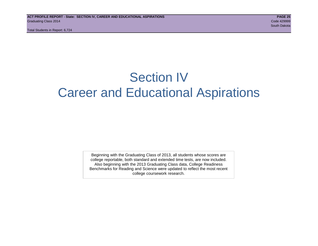Total Students in Report: 6,724

## Section IV Career and Educational Aspirations

Beginning with the Graduating Class of 2013, all students whose scores are college reportable, both standard and extended time tests, are now included. Also beginning with the 2013 Graduating Class data, College Readiness Benchmarks for Reading and Science were updated to reflect the most recent college coursework research.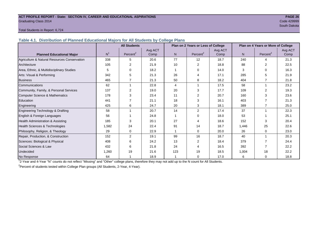#### **ACT PROFILE REPORT - State: SECTION IV, CAREER AND EDUCATIONAL ASPIRATIONS PAGE 26** Graduating Class 2014 Code 429999

South Dakota (1999) and the state of the state of the state of the state of the state of the South Dakota (199

#### Total Students in Report: 6,724

**Table 4.1. Distribution of Planned Educational Majors for All Students by College Plans**

|                                              | <b>All Students</b> |                      |         |     | Plan on 2 Years or Less of College |         |       | Plan on 4 Years or More of College |         |
|----------------------------------------------|---------------------|----------------------|---------|-----|------------------------------------|---------|-------|------------------------------------|---------|
|                                              |                     |                      | Avg ACT |     |                                    | Avg ACT |       |                                    | Avg ACT |
| <b>Planned Educational Major</b>             | N <sup>1</sup>      | Percent <sup>2</sup> | Comp    | N   | Percent <sup>2</sup>               | Comp    | N.    | Percent <sup>2</sup>               | Comp    |
| Agriculture & Natural Resources Conservation | 338                 | 5                    | 20.6    | 77  | 12                                 | 18.7    | 240   | 4                                  | 21.3    |
| Architecture                                 | 105                 | 2                    | 21.9    | 10  | 2                                  | 18.8    | 88    | 2                                  | 22.5    |
| Area, Ethnic, & Multidisciplinary Studies    | 5                   | 0                    | 18.2    |     | $\Omega$                           | 14.0    | 3     | 0                                  | 16.3    |
| Arts: Visual & Performing                    | 342                 | 5                    | 21.3    | 26  |                                    | 17.1    | 285   | 5                                  | 21.9    |
| <b>Business</b>                              | 465                 |                      | 21.3    | 50  | 8                                  | 18.2    | 404   |                                    | 21.8    |
| Communications                               | 62                  |                      | 22.8    | 4   |                                    | 17.5    | 58    |                                    | 23.2    |
| Community, Family, & Personal Services       | 137                 | $\overline{2}$       | 19.0    | 20  | 3                                  | 17.7    | 109   | $\overline{2}$                     | 19.3    |
| <b>Computer Science &amp; Mathematics</b>    | 178                 | 3                    | 23.4    | 11  |                                    | 20.7    | 160   | 3                                  | 23.6    |
| Education                                    | 441                 |                      | 21.1    | 18  | 3                                  | 16.1    | 403   |                                    | 21.3    |
| Engineering                                  | 425                 | 6                    | 24.7    | 20  | 3                                  | 18.1    | 389   | 7                                  | 25.0    |
| Engineering Technology & Drafting            | 58                  |                      | 20.7    | 14  | 2                                  | 17.4    | 37    |                                    | 22.3    |
| English & Foreign Languages                  | 56                  |                      | 24.8    |     | $\Omega$                           | 18.0    | 53    |                                    | 25.1    |
| Health Administration & Assisting            | 185                 | 3                    | 20.1    | 27  | 4                                  | 18.6    | 152   | 3                                  | 20.4    |
| Health Sciences & Technologies               | 1,582               | 24                   | 22.4    | 91  | 14                                 | 18.7    | 1,446 | 25                                 | 22.6    |
| Philosophy, Religion, & Theology             | 29                  | 0                    | 22.9    |     | $\Omega$                           | 20.0    | 26    | 0                                  | 23.0    |
| Repair, Production, & Construction           | 152                 | 2                    | 19.1    | 99  | 16                                 | 18.7    | 40    |                                    | 20.3    |
| Sciences: Biological & Physical              | 408                 | 6                    | 24.2    | 13  | 2                                  | 18.4    | 379   |                                    | 24.4    |
| Social Sciences & Law                        | 432                 | 6                    | 21.8    | 24  | Δ                                  | 16.5    | 392   |                                    | 22.2    |
| Undecided                                    | 1,260               | 19                   | 21.6    | 123 | 19                                 | 18.5    | 1,004 | 18                                 | 22.2    |
| No Response                                  | 64                  |                      | 18.9    |     | 0                                  | 17.0    | 6     | $\mathbf 0$                        | 18.8    |

1 2-Year and 4-Year "N" counts do not reflect "Missing" and "Other" college plans, therefore they may not add up to the N count for All Students.

<sup>2</sup> Percent of students tested within College Plan groups (All Students, 2-Year, 4-Year).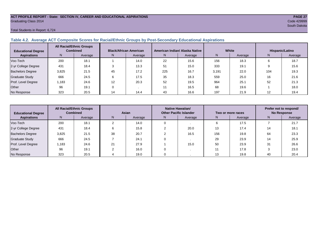#### **ACT PROFILE REPORT - State: SECTION IV, CAREER AND EDUCATIONAL ASPIRATIONS PAGE 27** Graduating Class 2014 Code 429999

#### Total Students in Report: 6,724

## **Table 4.2. Average ACT Composite Scores for Racial/Ethnic Groups by Post-Secondary Educational Aspirations**

| <b>Educational Degree</b> | <b>All Racial/Ethnic Groups</b><br><b>Combined</b> |         | <b>Black/African American</b> |         |     | American Indian/ Alaska Native |       | White   | Hispanic/Latino |         |  |
|---------------------------|----------------------------------------------------|---------|-------------------------------|---------|-----|--------------------------------|-------|---------|-----------------|---------|--|
| <b>Aspirations</b>        | N.                                                 | Average | N.                            | Average | N.  | Average                        | N.    | Average | N               | Average |  |
| Voc-Tech                  | 200                                                | 18.1    |                               | 14.0    | 22  | 15.6                           | 156   | 18.3    | 6               | 18.7    |  |
| 2-yr College Degree       | 431                                                | 18.4    |                               | 13.3    | 51  | 15.0                           | 333   | 19.1    |                 | 15.6    |  |
| <b>Bachelors Degree</b>   | 3,825                                              | 21.5    | 45                            | 17.2    | 225 | 16.7                           | 3,191 | 22.0    | 104             | 19.3    |  |
| <b>Graduate Study</b>     | 666                                                | 24.5    | 6                             | 17.5    | 35  | 18.3                           | 559   | 25.0    | 16              | 21.6    |  |
| Prof. Level Degree        | 1,183                                              | 24.6    | 12                            | 20.3    | 52  | 19.5                           | 964   | 25.1    | 52              | 21.3    |  |
| Other                     | 96                                                 | 19.1    |                               |         |     | 16.5                           | 68    | 19.6    |                 | 18.0    |  |
| No Response               | 323                                                | 20.5    | 14                            | 14.4    | 43  | 16.6                           | 197   | 21.9    | 12              | 19.4    |  |

| <b>Educational Degree</b> | <b>All Racial/Ethnic Groups</b><br><b>Combined</b> |         | Asian |         |    | Native Hawaiian/<br><b>Other Pacific Islander</b> |     | Two or more races | Prefer not to respond/<br><b>No Response</b> |         |
|---------------------------|----------------------------------------------------|---------|-------|---------|----|---------------------------------------------------|-----|-------------------|----------------------------------------------|---------|
| <b>Aspirations</b>        | N                                                  | Average | N     | Average | N. | Average                                           | N.  | Average           | N.                                           | Average |
| Voc-Tech                  | 200                                                | 18.1    |       | 14.0    |    |                                                   | 6   | 17.5              |                                              | 21.7    |
| 2-yr College Degree       | 431                                                | 18.4    |       | 15.8    |    | 20.0                                              | 13  | 17.4              | 14                                           | 18.1    |
| <b>Bachelors Degree</b>   | 3,825                                              | 21.5    | 38    | 20.7    |    | 16.5                                              | 156 | 19.8              | 64                                           | 23.3    |
| Graduate Study            | 666                                                | 24.5    |       | 24.1    |    |                                                   | 29  | 23.9              | 14                                           | 25.9    |
| Prof. Level Degree        | 1.183                                              | 24.6    | 21    | 27.9    |    | 15.0                                              | 50  | 23.9              | 31                                           | 26.6    |
| Other                     | 96                                                 | 19.1    |       | 16.0    |    |                                                   |     | 17.8              |                                              | 23.0    |
| No Response               | 323                                                | 20.5    |       | 19.0    |    |                                                   | 13  | 19.8              | 40                                           | 20.4    |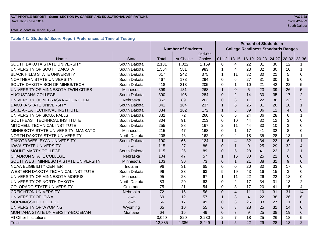## **ACT PROFILE REPORT - State: SECTION IV, CAREER AND EDUCATIONAL ASPIRATIONS PAGE 28** Graduating Class 2014 Code 429999

#### Total Students in Report: 6,724

#### **Table 4.3. Students' Score Report Preferences at Time of Testing**

|                                             |              |                           |            |         | <b>Percent of Students in</b> |                                           |                   |           |                 |                 |                |
|---------------------------------------------|--------------|---------------------------|------------|---------|-------------------------------|-------------------------------------------|-------------------|-----------|-----------------|-----------------|----------------|
|                                             |              | <b>Number of Students</b> |            |         |                               | <b>College Readiness Standards Ranges</b> |                   |           |                 |                 |                |
|                                             |              |                           |            | 2nd-6th |                               |                                           |                   |           |                 |                 |                |
| Name                                        | <b>State</b> | <b>Total</b>              | 1st Choice | Choice  | $01 - 12$                     |                                           | $13 - 15$   16-19 | $20 - 23$ | 24-27           | $28-32$ 33-36   |                |
| SOUTH DAKOTA STATE UNIVERSITY               | South Dakota | 2,181                     | 1,022      | 1,159   | $\Omega$                      | 4                                         | 22                | 31        | 30              | 12              |                |
| UNIVERSITY OF SOUTH DAKOTA                  | South Dakota | 1,564                     | 581        | 983     | $\mathbf 1$                   | 4                                         | 23                | 32        | 30              | 10              | 1              |
| <b>BLACK HILLS STATE UNIVERSITY</b>         | South Dakota | 617                       | 242        | 375     | 1                             | 11                                        | 32                | 30        | 21              | 5               | $\Omega$       |
| NORTHERN STATE UNIVERSITY                   | South Dakota | 467                       | 173        | 294     | $\mathbf 0$                   | 6                                         | 27                | 31        | 30              | 5               | 0              |
| SOUTH DAKOTA SCH OF MINES/TECH              | South Dakota | 418                       | 213        | 205     | $\mathbf 0$                   | 1                                         | 10                | 21        | 42              | 22              | 5              |
| UNIVERSITY OF MINNESOTA-TWIN CITIES         | Minnesota    | 399                       | 131        | 268     | $\mathbf{1}$                  | $\Omega$                                  | 5                 | 23        | 39              | 26              | 5              |
| <b>AUGUSTANA COLLEGE</b>                    | South Dakota | 390                       | 106        | 284     | $\Omega$                      | $\overline{2}$                            | 14                | 30        | 35              | 17              | 2              |
| UNIVERSITY OF NEBRASKA AT LINCOLN           | Nebraska     | 352                       | 89         | 263     | $\overline{0}$                | 3                                         | 11                | 22        | 36              | 23              | 5              |
| <b>DAKOTA STATE UNIVERSITY</b>              | South Dakota | 341                       | 104        | 237     | 1                             | 5                                         | 26                | 31        | 26              | 10              | $\mathbf{1}$   |
| LAKE AREA TECHNICAL INSTITUTE               | South Dakota | 334                       | 162        | 172     | $\mathbf{1}$                  | 8                                         | 39                | 36        | 12              | $\overline{4}$  | $\mathbf{0}$   |
| UNIVERSITY OF SIOUX FALLS                   | South Dakota | 332                       | 72         | 260     | $\mathbf 0$                   | 5                                         | 24                | 36        | 28              | $6\phantom{1}6$ | $\mathbf{1}$   |
| SOUTHEAST TECHNICAL INSTITUTE               | South Dakota | 304                       | 91         | 213     | $\mathbf 0$                   | 10                                        | 44                | 32        | 12              | 3               | $\Omega$       |
| MITCHELL TECHNICAL INSTITUTE                | South Dakota | 255                       | 88         | 167     | $\overline{2}$                | 11                                        | 44                | 30        | 10              | 3               | $\Omega$       |
| MINNESOTA STATE UNIVERSITY MANKATO          | Minnesota    | 215                       | 47         | 168     | $\mathbf 0$                   | 1                                         | 17                | 41        | 32              | 8               | $\Omega$       |
| NORTH DAKOTA STATE UNIVERSITY               | North Dakota | 208                       | 46         | 162     | 0                             | 4                                         | 18                | 35        | 28              | 13              | $\mathbf 1$    |
| DAKOTA WESLEYAN UNIVERSITY                  | South Dakota | 190                       | 66         | 124     | $\mathbf{1}$                  | $\overline{4}$                            | 32                | 34        | 23              | $6\phantom{1}6$ | $\mathbf{1}$   |
| <b>IOWA STATE UNIVERSITY</b>                | lowa         | 115                       | 27         | 88      | $\Omega$                      | $\mathbf 1$                               | 9                 | 25        | 29              | 32              | 4              |
| <b>MOUNT MARTY COLLEGE</b>                  | South Dakota | 115                       | 26         | 89      | $\Omega$                      | 5                                         | 28                | 41        | 22              | 3               | 1              |
| <b>CHADRON STATE COLLEGE</b>                | Nebraska     | 104                       | 47         | 57      | $\mathbf{1}$                  | 16                                        | 30                | 25        | 22              | 6               | $\Omega$       |
| SOUTHWEST MINNESOTA STATE UNIVERSITY        | Minnesota    | 103                       | 30         | 73      | $\Omega$                      | $\mathbf{1}$                              | 21                | 38        | 31              | 9               | $\Omega$       |
| <b>NCAA ELIGIBILITY CENTER</b>              | Indiana      | 96                        | 31         | 65      | $\mathbf 0$                   | $\mathbf 0$                               | 20                | 30        | 33              | 17              | $\mathbf 0$    |
| <b>WESTERN DAKOTA TECHNICAL INSTITUTE</b>   | South Dakota | 96                        | 33         | 63      | 5                             | 19                                        | 43                | 16        | 15              | 3               | $\Omega$       |
| UNIVERSITY OF MINNESOTA-MORRIS              | Minnesota    | 95                        | 28         | 67      | 1                             | 11                                        | 22                | 26        | 22              | 18              | $\Omega$       |
| UNIVERSITY OF NORTH DAKOTA                  | North Dakota | 83                        | 20         | 63      | $\mathbf 0$                   | $\overline{2}$                            | 17                | 34        | 31              | 13              | $\overline{2}$ |
| <b>COLORADO STATE UNIVERSITY</b>            | Colorado     | 75                        | 21         | 54      | $\mathbf 0$                   | 3                                         | 17                | 20        | 41              | 15              | $\overline{4}$ |
| <b>CREIGHTON UNIVERSITY</b>                 | Nebraska     | 72                        | 16         | 56      | $\Omega$                      | $\overline{\mathbf{4}}$                   | 11                | 10        | 31              | 31              | 14             |
| UNIVERSITY OF IOWA                          | lowa         | 69                        | 12         | 57      | $\mathbf{1}$                  | 3                                         | $\overline{4}$    | 22        | 38              | 26              | 6              |
| MORNINGSIDE COLLEGE                         | lowa         |                           | 17         | 49      | $\mathbf 0$                   | 3                                         | 26                | 33        | 27              | 11              | $\Omega$       |
| UNIVERSITY OF WYOMING                       | Wyoming      |                           | 10         | 55      | $\Omega$                      | 3                                         | 28                | 25        | 31              | 14              | $\Omega$       |
| MONTANA STATE UNIVERSITY-BOZEMAN<br>Montana |              |                           | 15         | 49      | $\mathbf 0$                   | 3                                         | 9                 | 25        | 38              | 19              | 6              |
| All Other Institutions                      |              | 3,050                     | 820        | 2,230   | $\overline{2}$                | $\overline{7}$                            | 18                | 25        | 26              | 18              | 5              |
| <b>Total</b>                                |              | 12,835                    | 4,386      | 8,449   | $\overline{1}$                | 5                                         | $\overline{22}$   | 29        | $\overline{28}$ | 13              | $\overline{2}$ |

South Dakota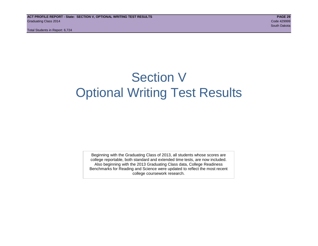Total Students in Report: 6,724

## Section V Optional Writing Test Results

Beginning with the Graduating Class of 2013, all students whose scores are college reportable, both standard and extended time tests, are now included. Also beginning with the 2013 Graduating Class data, College Readiness Benchmarks for Reading and Science were updated to reflect the most recent college coursework research.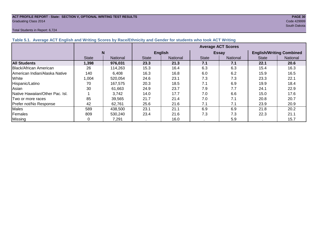## **ACT PROFILE REPORT - State: SECTION V, OPTIONAL WRITING TEST RESULTS** *PAGE 30***<br>Graduating Class 2014 <b>Code 429999** Graduating Class 2014 Code 429999

#### Total Students in Report: 6,724

South Dakota

| Table 5.1. Average ACT English and writing Scores by Race/Ethnicity and Gender for Students who took ACT writing |              |                 |              |                |                           |                 |                                 |                 |  |  |  |
|------------------------------------------------------------------------------------------------------------------|--------------|-----------------|--------------|----------------|---------------------------|-----------------|---------------------------------|-----------------|--|--|--|
|                                                                                                                  |              |                 |              |                | <b>Average ACT Scores</b> |                 |                                 |                 |  |  |  |
|                                                                                                                  | N            |                 |              | <b>English</b> |                           | <b>Essay</b>    | <b>English/Writing Combined</b> |                 |  |  |  |
|                                                                                                                  | <b>State</b> | <b>National</b> | <b>State</b> | National       | <b>State</b>              | <b>National</b> | <b>State</b>                    | <b>National</b> |  |  |  |
| <b>All Students</b>                                                                                              | 1,398        | 976,031         | 23.3         | 21.3           | 7.1                       | 7.1             | 22.1                            | 20.6            |  |  |  |
| Black/African American                                                                                           | 26           | 114,263         | 15.3         | 16.4           | 6.3                       | 6.3             | 15.4                            | 16.3            |  |  |  |
| American Indian/Alaska Native                                                                                    | 140          | 6,408           | 16.3         | 16.8           | 6.0                       | 6.2             | 15.9                            | 16.5            |  |  |  |
| <b>White</b>                                                                                                     | 1,004        | 520,054         | 24.6         | 23.1           | 7.3                       | 7.3             | 23.3                            | 22.1            |  |  |  |
| Hispanic/Latino                                                                                                  | 70           | 167,575         | 20.3         | 18.5           | 7.1                       | 6.9             | 19.9                            | 18.4            |  |  |  |
| Asian                                                                                                            | 30           | 61,663          | 24.9         | 23.7           | 7.9                       | 7.7             | 24.1                            | 22.9            |  |  |  |
| Native Hawaiian/Other Pac. Isl.                                                                                  |              | 3,742           | 14.0         | 17.7           | 7.0                       | 6.6             | 15.0                            | 17.6            |  |  |  |
| Two or more races                                                                                                | 85           | 39,565          | 21.7         | 21.4           | 7.0                       | 7.1             | 20.8                            | 20.7            |  |  |  |
| Prefer not/No Response                                                                                           | 42           | 62.761          | 25.6         | 21.6           | 7.1                       | 7.1             | 23.9                            | 20.9            |  |  |  |
| <b>Males</b>                                                                                                     | 589          | 438,500         | 23.1         | 21.1           | 6.9                       | 6.9             | 21.8                            | 20.2            |  |  |  |
| Females                                                                                                          | 809          | 530,240         | 23.4         | 21.6           | 7.3                       | 7.3             | 22.3                            | 21.1            |  |  |  |
| Missing                                                                                                          |              | 7,291           |              | 16.0           |                           | 5.9             |                                 | 15.7            |  |  |  |

#### **Table 5.1. Average ACT English and Writing Scores by Race/Ethnicity and Gender for students who took ACT Writing**